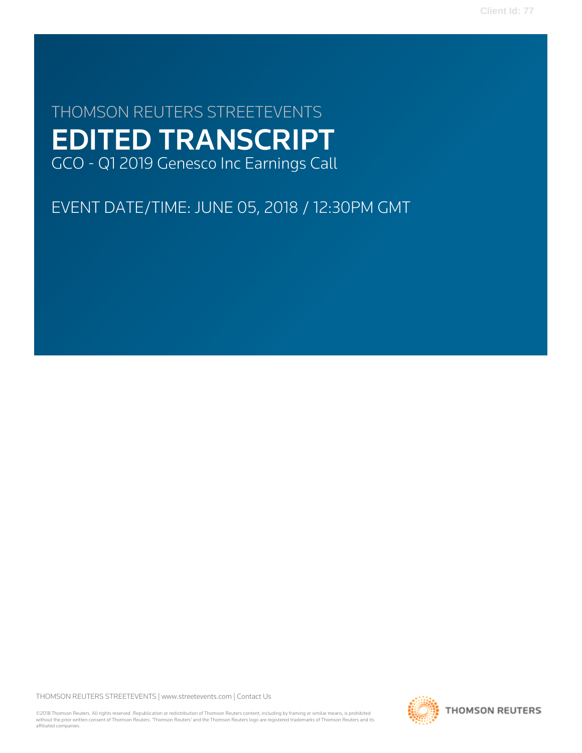**Client Id: 77**

# THOMSON REUTERS STREETEVENTS EDITED TRANSCRIPT GCO - Q1 2019 Genesco Inc Earnings Call

EVENT DATE/TIME: JUNE 05, 2018 / 12:30PM GMT

THOMSON REUTERS STREETEVENTS | [www.streetevents.com](http://www.streetevents.com) | [Contact Us](http://www010.streetevents.com/contact.asp)

©2018 Thomson Reuters. All rights reserved. Republication or redistribution of Thomson Reuters content, including by framing or similar means, is prohibited without the prior written consent of Thomson Reuters. 'Thomson Reuters' and the Thomson Reuters logo are registered trademarks of Thomson Reuters and its affiliated companies.

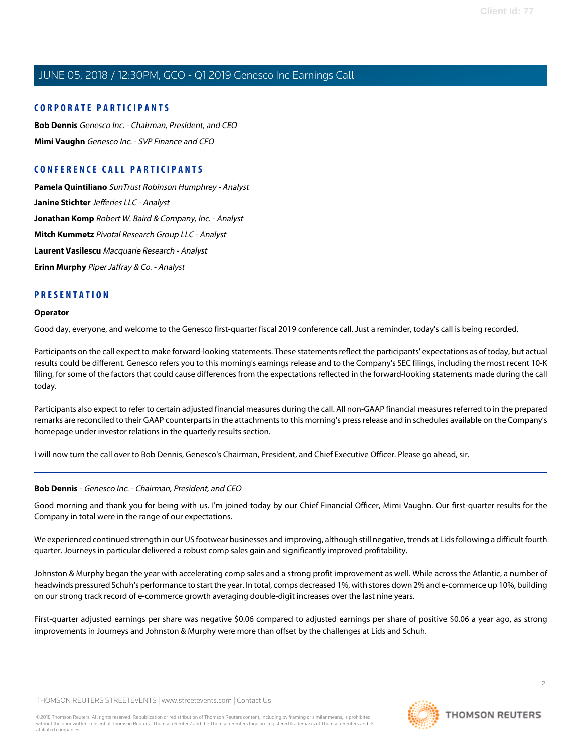#### **CORPORATE PARTICIPANTS**

**[Bob Dennis](#page-1-0)** Genesco Inc. - Chairman, President, and CEO **[Mimi Vaughn](#page-4-0)** Genesco Inc. - SVP Finance and CFO

### **CONFERENCE CALL PARTICIPANTS**

**[Pamela Quintiliano](#page-8-0)** SunTrust Robinson Humphrey - Analyst **[Janine Stichter](#page-9-0)** Jefferies LLC - Analyst **[Jonathan Komp](#page-9-1)** Robert W. Baird & Company, Inc. - Analyst **[Mitch Kummetz](#page-10-0)** Pivotal Research Group LLC - Analyst **[Laurent Vasilescu](#page-11-0)** Macquarie Research - Analyst **[Erinn Murphy](#page-13-0)** Piper Jaffray & Co. - Analyst

#### **PRESENTATION**

#### **Operator**

Good day, everyone, and welcome to the Genesco first-quarter fiscal 2019 conference call. Just a reminder, today's call is being recorded.

Participants on the call expect to make forward-looking statements. These statements reflect the participants' expectations as of today, but actual results could be different. Genesco refers you to this morning's earnings release and to the Company's SEC filings, including the most recent 10-K filing, for some of the factors that could cause differences from the expectations reflected in the forward-looking statements made during the call today.

Participants also expect to refer to certain adjusted financial measures during the call. All non-GAAP financial measures referred to in the prepared remarks are reconciled to their GAAP counterparts in the attachments to this morning's press release and in schedules available on the Company's homepage under investor relations in the quarterly results section.

<span id="page-1-0"></span>I will now turn the call over to Bob Dennis, Genesco's Chairman, President, and Chief Executive Officer. Please go ahead, sir.

#### **Bob Dennis** - Genesco Inc. - Chairman, President, and CEO

Good morning and thank you for being with us. I'm joined today by our Chief Financial Officer, Mimi Vaughn. Our first-quarter results for the Company in total were in the range of our expectations.

We experienced continued strength in our US footwear businesses and improving, although still negative, trends at Lids following a difficult fourth quarter. Journeys in particular delivered a robust comp sales gain and significantly improved profitability.

Johnston & Murphy began the year with accelerating comp sales and a strong profit improvement as well. While across the Atlantic, a number of headwinds pressured Schuh's performance to start the year. In total, comps decreased 1%, with stores down 2% and e-commerce up 10%, building on our strong track record of e-commerce growth averaging double-digit increases over the last nine years.

First-quarter adjusted earnings per share was negative \$0.06 compared to adjusted earnings per share of positive \$0.06 a year ago, as strong improvements in Journeys and Johnston & Murphy were more than offset by the challenges at Lids and Schuh.

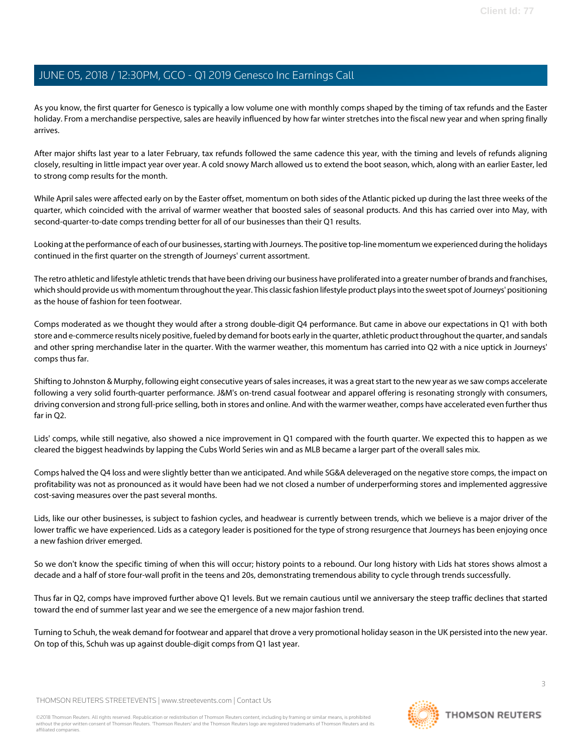As you know, the first quarter for Genesco is typically a low volume one with monthly comps shaped by the timing of tax refunds and the Easter holiday. From a merchandise perspective, sales are heavily influenced by how far winter stretches into the fiscal new year and when spring finally arrives.

After major shifts last year to a later February, tax refunds followed the same cadence this year, with the timing and levels of refunds aligning closely, resulting in little impact year over year. A cold snowy March allowed us to extend the boot season, which, along with an earlier Easter, led to strong comp results for the month.

While April sales were affected early on by the Easter offset, momentum on both sides of the Atlantic picked up during the last three weeks of the quarter, which coincided with the arrival of warmer weather that boosted sales of seasonal products. And this has carried over into May, with second-quarter-to-date comps trending better for all of our businesses than their Q1 results.

Looking at the performance of each of our businesses, starting with Journeys. The positive top-line momentum we experienced during the holidays continued in the first quarter on the strength of Journeys' current assortment.

The retro athletic and lifestyle athletic trends that have been driving our business have proliferated into a greater number of brands and franchises, which should provide us with momentum throughout the year. This classic fashion lifestyle product plays into the sweet spot of Journeys' positioning as the house of fashion for teen footwear.

Comps moderated as we thought they would after a strong double-digit Q4 performance. But came in above our expectations in Q1 with both store and e-commerce results nicely positive, fueled by demand for boots early in the quarter, athletic product throughout the quarter, and sandals and other spring merchandise later in the quarter. With the warmer weather, this momentum has carried into Q2 with a nice uptick in Journeys' comps thus far.

Shifting to Johnston & Murphy, following eight consecutive years of sales increases, it was a great start to the new year as we saw comps accelerate following a very solid fourth-quarter performance. J&M's on-trend casual footwear and apparel offering is resonating strongly with consumers, driving conversion and strong full-price selling, both in stores and online. And with the warmer weather, comps have accelerated even further thus far in Q2.

Lids' comps, while still negative, also showed a nice improvement in Q1 compared with the fourth quarter. We expected this to happen as we cleared the biggest headwinds by lapping the Cubs World Series win and as MLB became a larger part of the overall sales mix.

Comps halved the Q4 loss and were slightly better than we anticipated. And while SG&A deleveraged on the negative store comps, the impact on profitability was not as pronounced as it would have been had we not closed a number of underperforming stores and implemented aggressive cost-saving measures over the past several months.

Lids, like our other businesses, is subject to fashion cycles, and headwear is currently between trends, which we believe is a major driver of the lower traffic we have experienced. Lids as a category leader is positioned for the type of strong resurgence that Journeys has been enjoying once a new fashion driver emerged.

So we don't know the specific timing of when this will occur; history points to a rebound. Our long history with Lids hat stores shows almost a decade and a half of store four-wall profit in the teens and 20s, demonstrating tremendous ability to cycle through trends successfully.

Thus far in Q2, comps have improved further above Q1 levels. But we remain cautious until we anniversary the steep traffic declines that started toward the end of summer last year and we see the emergence of a new major fashion trend.

Turning to Schuh, the weak demand for footwear and apparel that drove a very promotional holiday season in the UK persisted into the new year. On top of this, Schuh was up against double-digit comps from Q1 last year.

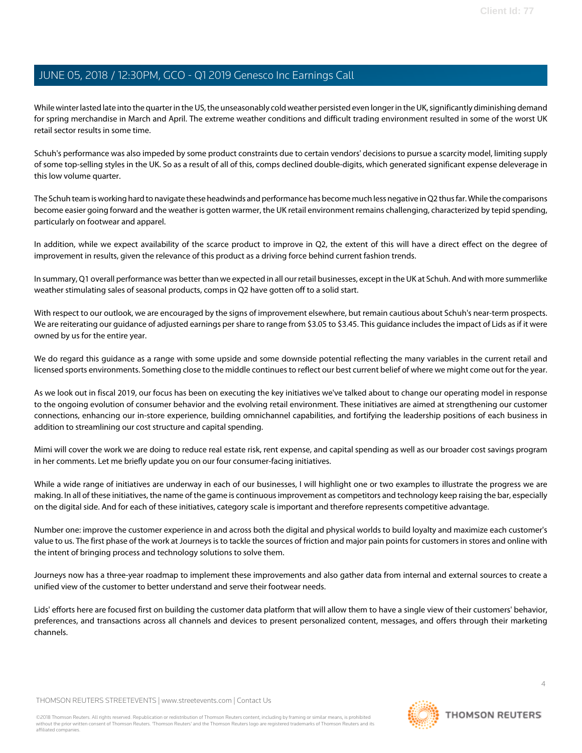While winter lasted late into the quarter in the US, the unseasonably cold weather persisted even longer in the UK, significantly diminishing demand for spring merchandise in March and April. The extreme weather conditions and difficult trading environment resulted in some of the worst UK retail sector results in some time.

Schuh's performance was also impeded by some product constraints due to certain vendors' decisions to pursue a scarcity model, limiting supply of some top-selling styles in the UK. So as a result of all of this, comps declined double-digits, which generated significant expense deleverage in this low volume quarter.

The Schuh team is working hard to navigate these headwinds and performance has become much less negative in Q2 thus far. While the comparisons become easier going forward and the weather is gotten warmer, the UK retail environment remains challenging, characterized by tepid spending, particularly on footwear and apparel.

In addition, while we expect availability of the scarce product to improve in Q2, the extent of this will have a direct effect on the degree of improvement in results, given the relevance of this product as a driving force behind current fashion trends.

In summary, Q1 overall performance was better than we expected in all our retail businesses, except in the UK at Schuh. And with more summerlike weather stimulating sales of seasonal products, comps in Q2 have gotten off to a solid start.

With respect to our outlook, we are encouraged by the signs of improvement elsewhere, but remain cautious about Schuh's near-term prospects. We are reiterating our guidance of adjusted earnings per share to range from \$3.05 to \$3.45. This guidance includes the impact of Lids as if it were owned by us for the entire year.

We do regard this guidance as a range with some upside and some downside potential reflecting the many variables in the current retail and licensed sports environments. Something close to the middle continues to reflect our best current belief of where we might come out for the year.

As we look out in fiscal 2019, our focus has been on executing the key initiatives we've talked about to change our operating model in response to the ongoing evolution of consumer behavior and the evolving retail environment. These initiatives are aimed at strengthening our customer connections, enhancing our in-store experience, building omnichannel capabilities, and fortifying the leadership positions of each business in addition to streamlining our cost structure and capital spending.

Mimi will cover the work we are doing to reduce real estate risk, rent expense, and capital spending as well as our broader cost savings program in her comments. Let me briefly update you on our four consumer-facing initiatives.

While a wide range of initiatives are underway in each of our businesses, I will highlight one or two examples to illustrate the progress we are making. In all of these initiatives, the name of the game is continuous improvement as competitors and technology keep raising the bar, especially on the digital side. And for each of these initiatives, category scale is important and therefore represents competitive advantage.

Number one: improve the customer experience in and across both the digital and physical worlds to build loyalty and maximize each customer's value to us. The first phase of the work at Journeys is to tackle the sources of friction and major pain points for customers in stores and online with the intent of bringing process and technology solutions to solve them.

Journeys now has a three-year roadmap to implement these improvements and also gather data from internal and external sources to create a unified view of the customer to better understand and serve their footwear needs.

Lids' efforts here are focused first on building the customer data platform that will allow them to have a single view of their customers' behavior, preferences, and transactions across all channels and devices to present personalized content, messages, and offers through their marketing channels.

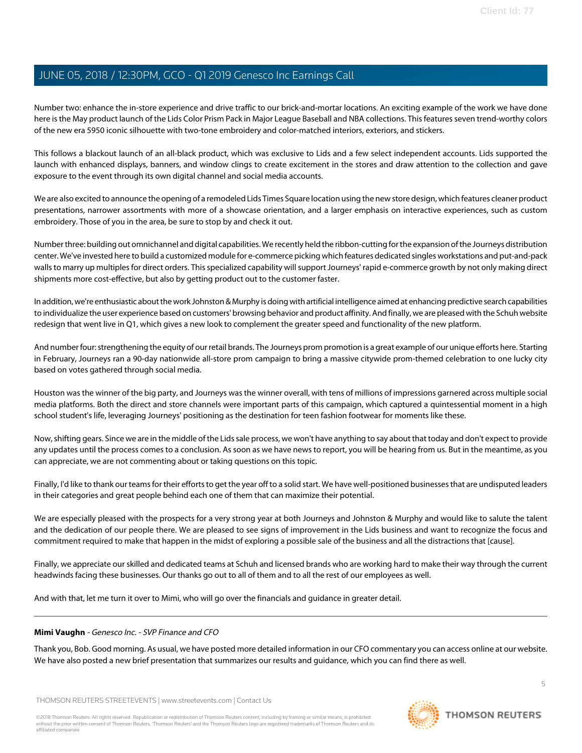Number two: enhance the in-store experience and drive traffic to our brick-and-mortar locations. An exciting example of the work we have done here is the May product launch of the Lids Color Prism Pack in Major League Baseball and NBA collections. This features seven trend-worthy colors of the new era 5950 iconic silhouette with two-tone embroidery and color-matched interiors, exteriors, and stickers.

This follows a blackout launch of an all-black product, which was exclusive to Lids and a few select independent accounts. Lids supported the launch with enhanced displays, banners, and window clings to create excitement in the stores and draw attention to the collection and gave exposure to the event through its own digital channel and social media accounts.

We are also excited to announce the opening of a remodeled Lids Times Square location using the new store design, which features cleaner product presentations, narrower assortments with more of a showcase orientation, and a larger emphasis on interactive experiences, such as custom embroidery. Those of you in the area, be sure to stop by and check it out.

Number three: building out omnichannel and digital capabilities. We recently held the ribbon-cutting for the expansion of the Journeys distribution center. We've invested here to build a customized module for e-commerce picking which features dedicated singles workstations and put-and-pack walls to marry up multiples for direct orders. This specialized capability will support Journeys' rapid e-commerce growth by not only making direct shipments more cost-effective, but also by getting product out to the customer faster.

In addition, we're enthusiastic about the work Johnston & Murphy is doing with artificial intelligence aimed at enhancing predictive search capabilities to individualize the user experience based on customers' browsing behavior and product affinity. And finally, we are pleased with the Schuh website redesign that went live in Q1, which gives a new look to complement the greater speed and functionality of the new platform.

And number four: strengthening the equity of our retail brands. The Journeys prom promotion is a great example of our unique efforts here. Starting in February, Journeys ran a 90-day nationwide all-store prom campaign to bring a massive citywide prom-themed celebration to one lucky city based on votes gathered through social media.

Houston was the winner of the big party, and Journeys was the winner overall, with tens of millions of impressions garnered across multiple social media platforms. Both the direct and store channels were important parts of this campaign, which captured a quintessential moment in a high school student's life, leveraging Journeys' positioning as the destination for teen fashion footwear for moments like these.

Now, shifting gears. Since we are in the middle of the Lids sale process, we won't have anything to say about that today and don't expect to provide any updates until the process comes to a conclusion. As soon as we have news to report, you will be hearing from us. But in the meantime, as you can appreciate, we are not commenting about or taking questions on this topic.

Finally, I'd like to thank our teams for their efforts to get the year off to a solid start. We have well-positioned businesses that are undisputed leaders in their categories and great people behind each one of them that can maximize their potential.

We are especially pleased with the prospects for a very strong year at both Journeys and Johnston & Murphy and would like to salute the talent and the dedication of our people there. We are pleased to see signs of improvement in the Lids business and want to recognize the focus and commitment required to make that happen in the midst of exploring a possible sale of the business and all the distractions that [cause].

<span id="page-4-0"></span>Finally, we appreciate our skilled and dedicated teams at Schuh and licensed brands who are working hard to make their way through the current headwinds facing these businesses. Our thanks go out to all of them and to all the rest of our employees as well.

And with that, let me turn it over to Mimi, who will go over the financials and guidance in greater detail.

#### **Mimi Vaughn** - Genesco Inc. - SVP Finance and CFO

Thank you, Bob. Good morning. As usual, we have posted more detailed information in our CFO commentary you can access online at our website. We have also posted a new brief presentation that summarizes our results and guidance, which you can find there as well.

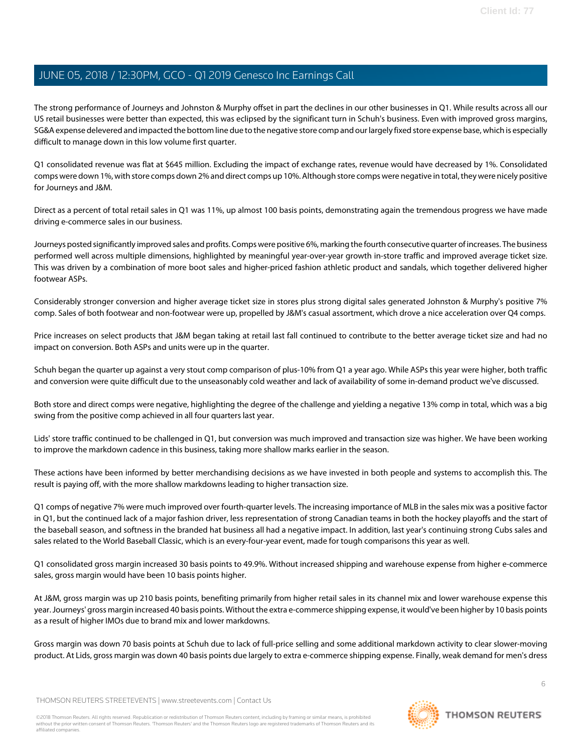The strong performance of Journeys and Johnston & Murphy offset in part the declines in our other businesses in Q1. While results across all our US retail businesses were better than expected, this was eclipsed by the significant turn in Schuh's business. Even with improved gross margins, SG&A expense delevered and impacted the bottom line due to the negative store comp and our largely fixed store expense base, which is especially difficult to manage down in this low volume first quarter.

Q1 consolidated revenue was flat at \$645 million. Excluding the impact of exchange rates, revenue would have decreased by 1%. Consolidated comps were down 1%, with store comps down 2% and direct comps up 10%. Although store comps were negative in total, they were nicely positive for Journeys and J&M.

Direct as a percent of total retail sales in Q1 was 11%, up almost 100 basis points, demonstrating again the tremendous progress we have made driving e-commerce sales in our business.

Journeys posted significantly improved sales and profits. Comps were positive 6%, marking the fourth consecutive quarter of increases. The business performed well across multiple dimensions, highlighted by meaningful year-over-year growth in-store traffic and improved average ticket size. This was driven by a combination of more boot sales and higher-priced fashion athletic product and sandals, which together delivered higher footwear ASPs.

Considerably stronger conversion and higher average ticket size in stores plus strong digital sales generated Johnston & Murphy's positive 7% comp. Sales of both footwear and non-footwear were up, propelled by J&M's casual assortment, which drove a nice acceleration over Q4 comps.

Price increases on select products that J&M began taking at retail last fall continued to contribute to the better average ticket size and had no impact on conversion. Both ASPs and units were up in the quarter.

Schuh began the quarter up against a very stout comp comparison of plus-10% from Q1 a year ago. While ASPs this year were higher, both traffic and conversion were quite difficult due to the unseasonably cold weather and lack of availability of some in-demand product we've discussed.

Both store and direct comps were negative, highlighting the degree of the challenge and yielding a negative 13% comp in total, which was a big swing from the positive comp achieved in all four quarters last year.

Lids' store traffic continued to be challenged in Q1, but conversion was much improved and transaction size was higher. We have been working to improve the markdown cadence in this business, taking more shallow marks earlier in the season.

These actions have been informed by better merchandising decisions as we have invested in both people and systems to accomplish this. The result is paying off, with the more shallow markdowns leading to higher transaction size.

Q1 comps of negative 7% were much improved over fourth-quarter levels. The increasing importance of MLB in the sales mix was a positive factor in Q1, but the continued lack of a major fashion driver, less representation of strong Canadian teams in both the hockey playoffs and the start of the baseball season, and softness in the branded hat business all had a negative impact. In addition, last year's continuing strong Cubs sales and sales related to the World Baseball Classic, which is an every-four-year event, made for tough comparisons this year as well.

Q1 consolidated gross margin increased 30 basis points to 49.9%. Without increased shipping and warehouse expense from higher e-commerce sales, gross margin would have been 10 basis points higher.

At J&M, gross margin was up 210 basis points, benefiting primarily from higher retail sales in its channel mix and lower warehouse expense this year. Journeys' gross margin increased 40 basis points. Without the extra e-commerce shipping expense, it would've been higher by 10 basis points as a result of higher IMOs due to brand mix and lower markdowns.

Gross margin was down 70 basis points at Schuh due to lack of full-price selling and some additional markdown activity to clear slower-moving product. At Lids, gross margin was down 40 basis points due largely to extra e-commerce shipping expense. Finally, weak demand for men's dress

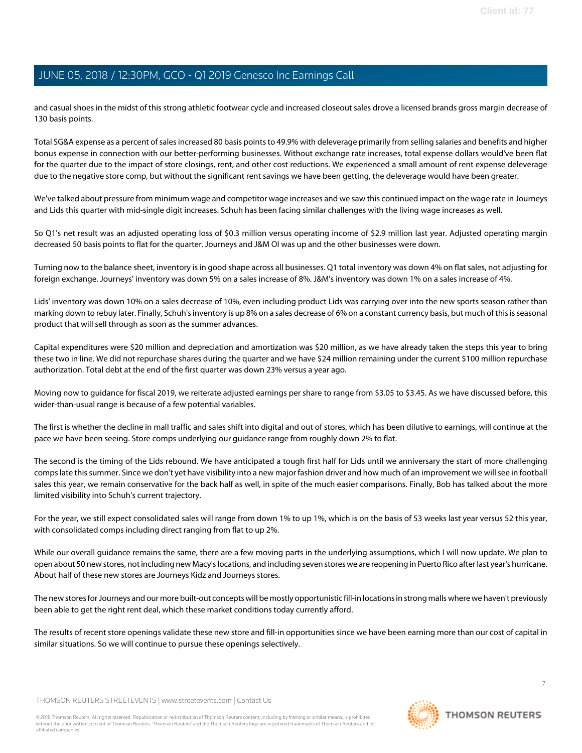and casual shoes in the midst of this strong athletic footwear cycle and increased closeout sales drove a licensed brands gross margin decrease of 130 basis points.

Total SG&A expense as a percent of sales increased 80 basis points to 49.9% with deleverage primarily from selling salaries and benefits and higher bonus expense in connection with our better-performing businesses. Without exchange rate increases, total expense dollars would've been flat for the quarter due to the impact of store closings, rent, and other cost reductions. We experienced a small amount of rent expense deleverage due to the negative store comp, but without the significant rent savings we have been getting, the deleverage would have been greater.

We've talked about pressure from minimum wage and competitor wage increases and we saw this continued impact on the wage rate in Journeys and Lids this quarter with mid-single digit increases. Schuh has been facing similar challenges with the living wage increases as well.

So Q1's net result was an adjusted operating loss of \$0.3 million versus operating income of \$2.9 million last year. Adjusted operating margin decreased 50 basis points to flat for the quarter. Journeys and J&M OI was up and the other businesses were down.

Turning now to the balance sheet, inventory is in good shape across all businesses. Q1 total inventory was down 4% on flat sales, not adjusting for foreign exchange. Journeys' inventory was down 5% on a sales increase of 8%. J&M's inventory was down 1% on a sales increase of 4%.

Lids' inventory was down 10% on a sales decrease of 10%, even including product Lids was carrying over into the new sports season rather than marking down to rebuy later. Finally, Schuh's inventory is up 8% on a sales decrease of 6% on a constant currency basis, but much of this is seasonal product that will sell through as soon as the summer advances.

Capital expenditures were \$20 million and depreciation and amortization was \$20 million, as we have already taken the steps this year to bring these two in line. We did not repurchase shares during the quarter and we have \$24 million remaining under the current \$100 million repurchase authorization. Total debt at the end of the first quarter was down 23% versus a year ago.

Moving now to guidance for fiscal 2019, we reiterate adjusted earnings per share to range from \$3.05 to \$3.45. As we have discussed before, this wider-than-usual range is because of a few potential variables.

The first is whether the decline in mall traffic and sales shift into digital and out of stores, which has been dilutive to earnings, will continue at the pace we have been seeing. Store comps underlying our guidance range from roughly down 2% to flat.

The second is the timing of the Lids rebound. We have anticipated a tough first half for Lids until we anniversary the start of more challenging comps late this summer. Since we don't yet have visibility into a new major fashion driver and how much of an improvement we will see in football sales this year, we remain conservative for the back half as well, in spite of the much easier comparisons. Finally, Bob has talked about the more limited visibility into Schuh's current trajectory.

For the year, we still expect consolidated sales will range from down 1% to up 1%, which is on the basis of 53 weeks last year versus 52 this year, with consolidated comps including direct ranging from flat to up 2%.

While our overall guidance remains the same, there are a few moving parts in the underlying assumptions, which I will now update. We plan to open about 50 new stores, not including new Macy's locations, and including seven stores we are reopening in Puerto Rico after last year's hurricane. About half of these new stores are Journeys Kidz and Journeys stores.

The new stores for Journeys and our more built-out concepts will be mostly opportunistic fill-in locations in strong malls where we haven't previously been able to get the right rent deal, which these market conditions today currently afford.

The results of recent store openings validate these new store and fill-in opportunities since we have been earning more than our cost of capital in similar situations. So we will continue to pursue these openings selectively.

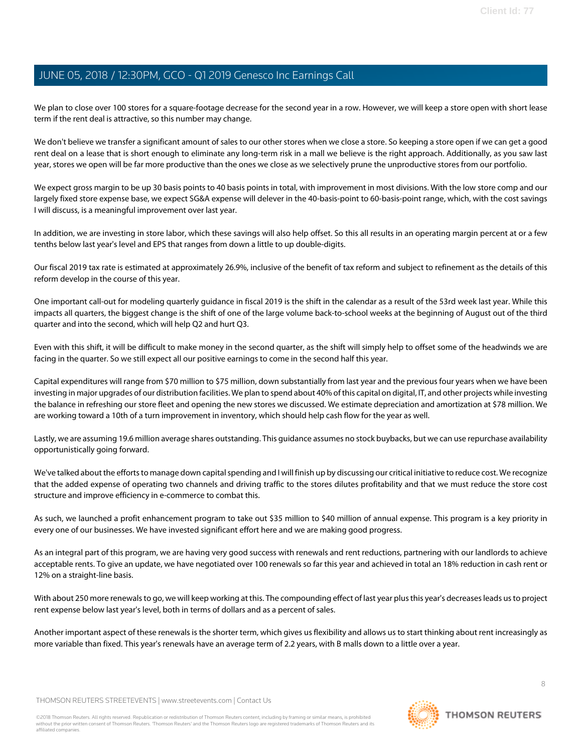We plan to close over 100 stores for a square-footage decrease for the second year in a row. However, we will keep a store open with short lease term if the rent deal is attractive, so this number may change.

We don't believe we transfer a significant amount of sales to our other stores when we close a store. So keeping a store open if we can get a good rent deal on a lease that is short enough to eliminate any long-term risk in a mall we believe is the right approach. Additionally, as you saw last year, stores we open will be far more productive than the ones we close as we selectively prune the unproductive stores from our portfolio.

We expect gross margin to be up 30 basis points to 40 basis points in total, with improvement in most divisions. With the low store comp and our largely fixed store expense base, we expect SG&A expense will delever in the 40-basis-point to 60-basis-point range, which, with the cost savings I will discuss, is a meaningful improvement over last year.

In addition, we are investing in store labor, which these savings will also help offset. So this all results in an operating margin percent at or a few tenths below last year's level and EPS that ranges from down a little to up double-digits.

Our fiscal 2019 tax rate is estimated at approximately 26.9%, inclusive of the benefit of tax reform and subject to refinement as the details of this reform develop in the course of this year.

One important call-out for modeling quarterly guidance in fiscal 2019 is the shift in the calendar as a result of the 53rd week last year. While this impacts all quarters, the biggest change is the shift of one of the large volume back-to-school weeks at the beginning of August out of the third quarter and into the second, which will help Q2 and hurt Q3.

Even with this shift, it will be difficult to make money in the second quarter, as the shift will simply help to offset some of the headwinds we are facing in the quarter. So we still expect all our positive earnings to come in the second half this year.

Capital expenditures will range from \$70 million to \$75 million, down substantially from last year and the previous four years when we have been investing in major upgrades of our distribution facilities. We plan to spend about 40% of this capital on digital, IT, and other projects while investing the balance in refreshing our store fleet and opening the new stores we discussed. We estimate depreciation and amortization at \$78 million. We are working toward a 10th of a turn improvement in inventory, which should help cash flow for the year as well.

Lastly, we are assuming 19.6 million average shares outstanding. This guidance assumes no stock buybacks, but we can use repurchase availability opportunistically going forward.

We've talked about the efforts to manage down capital spending and I will finish up by discussing our critical initiative to reduce cost. We recognize that the added expense of operating two channels and driving traffic to the stores dilutes profitability and that we must reduce the store cost structure and improve efficiency in e-commerce to combat this.

As such, we launched a profit enhancement program to take out \$35 million to \$40 million of annual expense. This program is a key priority in every one of our businesses. We have invested significant effort here and we are making good progress.

As an integral part of this program, we are having very good success with renewals and rent reductions, partnering with our landlords to achieve acceptable rents. To give an update, we have negotiated over 100 renewals so far this year and achieved in total an 18% reduction in cash rent or 12% on a straight-line basis.

With about 250 more renewals to go, we will keep working at this. The compounding effect of last year plus this year's decreases leads us to project rent expense below last year's level, both in terms of dollars and as a percent of sales.

Another important aspect of these renewals is the shorter term, which gives us flexibility and allows us to start thinking about rent increasingly as more variable than fixed. This year's renewals have an average term of 2.2 years, with B malls down to a little over a year.

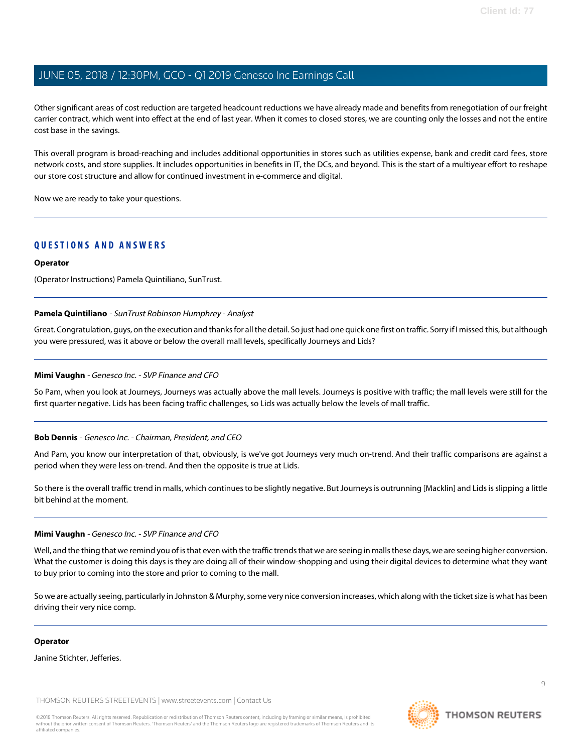Other significant areas of cost reduction are targeted headcount reductions we have already made and benefits from renegotiation of our freight carrier contract, which went into effect at the end of last year. When it comes to closed stores, we are counting only the losses and not the entire cost base in the savings.

This overall program is broad-reaching and includes additional opportunities in stores such as utilities expense, bank and credit card fees, store network costs, and store supplies. It includes opportunities in benefits in IT, the DCs, and beyond. This is the start of a multiyear effort to reshape our store cost structure and allow for continued investment in e-commerce and digital.

Now we are ready to take your questions.

#### **QUESTIONS AND ANSWERS**

#### **Operator**

<span id="page-8-0"></span>(Operator Instructions) Pamela Quintiliano, SunTrust.

#### **Pamela Quintiliano** - SunTrust Robinson Humphrey - Analyst

Great. Congratulation, guys, on the execution and thanks for all the detail. So just had one quick one first on traffic. Sorry if I missed this, but although you were pressured, was it above or below the overall mall levels, specifically Journeys and Lids?

#### **Mimi Vaughn** - Genesco Inc. - SVP Finance and CFO

So Pam, when you look at Journeys, Journeys was actually above the mall levels. Journeys is positive with traffic; the mall levels were still for the first quarter negative. Lids has been facing traffic challenges, so Lids was actually below the levels of mall traffic.

#### **Bob Dennis** - Genesco Inc. - Chairman, President, and CEO

And Pam, you know our interpretation of that, obviously, is we've got Journeys very much on-trend. And their traffic comparisons are against a period when they were less on-trend. And then the opposite is true at Lids.

So there is the overall traffic trend in malls, which continues to be slightly negative. But Journeys is outrunning [Macklin] and Lids is slipping a little bit behind at the moment.

#### **Mimi Vaughn** - Genesco Inc. - SVP Finance and CFO

Well, and the thing that we remind you of is that even with the traffic trends that we are seeing in malls these days, we are seeing higher conversion. What the customer is doing this days is they are doing all of their window-shopping and using their digital devices to determine what they want to buy prior to coming into the store and prior to coming to the mall.

So we are actually seeing, particularly in Johnston & Murphy, some very nice conversion increases, which along with the ticket size is what has been driving their very nice comp.

#### **Operator**

Janine Stichter, Jefferies.

THOMSON REUTERS STREETEVENTS | [www.streetevents.com](http://www.streetevents.com) | [Contact Us](http://www010.streetevents.com/contact.asp)

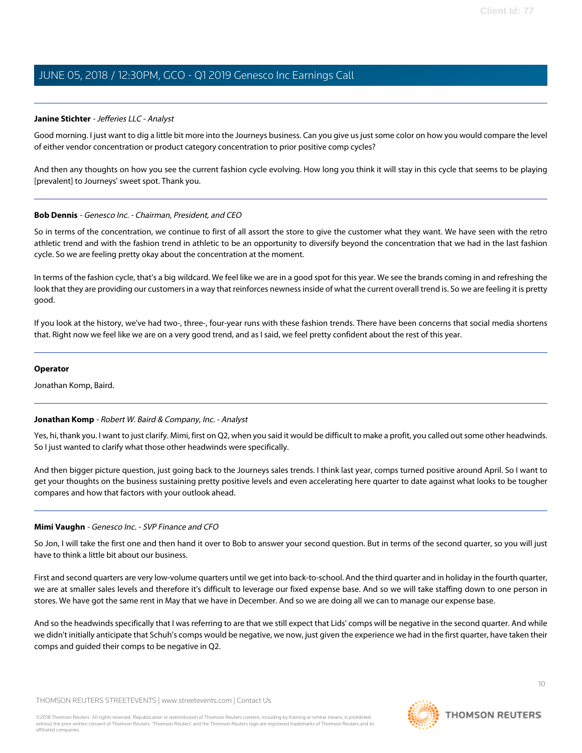#### <span id="page-9-0"></span>**Janine Stichter** - Jefferies LLC - Analyst

Good morning. I just want to dig a little bit more into the Journeys business. Can you give us just some color on how you would compare the level of either vendor concentration or product category concentration to prior positive comp cycles?

And then any thoughts on how you see the current fashion cycle evolving. How long you think it will stay in this cycle that seems to be playing [prevalent] to Journeys' sweet spot. Thank you.

#### **Bob Dennis** - Genesco Inc. - Chairman, President, and CEO

So in terms of the concentration, we continue to first of all assort the store to give the customer what they want. We have seen with the retro athletic trend and with the fashion trend in athletic to be an opportunity to diversify beyond the concentration that we had in the last fashion cycle. So we are feeling pretty okay about the concentration at the moment.

In terms of the fashion cycle, that's a big wildcard. We feel like we are in a good spot for this year. We see the brands coming in and refreshing the look that they are providing our customers in a way that reinforces newness inside of what the current overall trend is. So we are feeling it is pretty good.

If you look at the history, we've had two-, three-, four-year runs with these fashion trends. There have been concerns that social media shortens that. Right now we feel like we are on a very good trend, and as I said, we feel pretty confident about the rest of this year.

#### **Operator**

<span id="page-9-1"></span>Jonathan Komp, Baird.

#### **Jonathan Komp** - Robert W. Baird & Company, Inc. - Analyst

Yes, hi, thank you. I want to just clarify. Mimi, first on Q2, when you said it would be difficult to make a profit, you called out some other headwinds. So I just wanted to clarify what those other headwinds were specifically.

And then bigger picture question, just going back to the Journeys sales trends. I think last year, comps turned positive around April. So I want to get your thoughts on the business sustaining pretty positive levels and even accelerating here quarter to date against what looks to be tougher compares and how that factors with your outlook ahead.

#### **Mimi Vaughn** - Genesco Inc. - SVP Finance and CFO

So Jon, I will take the first one and then hand it over to Bob to answer your second question. But in terms of the second quarter, so you will just have to think a little bit about our business.

First and second quarters are very low-volume quarters until we get into back-to-school. And the third quarter and in holiday in the fourth quarter, we are at smaller sales levels and therefore it's difficult to leverage our fixed expense base. And so we will take staffing down to one person in stores. We have got the same rent in May that we have in December. And so we are doing all we can to manage our expense base.

And so the headwinds specifically that I was referring to are that we still expect that Lids' comps will be negative in the second quarter. And while we didn't initially anticipate that Schuh's comps would be negative, we now, just given the experience we had in the first quarter, have taken their comps and guided their comps to be negative in Q2.

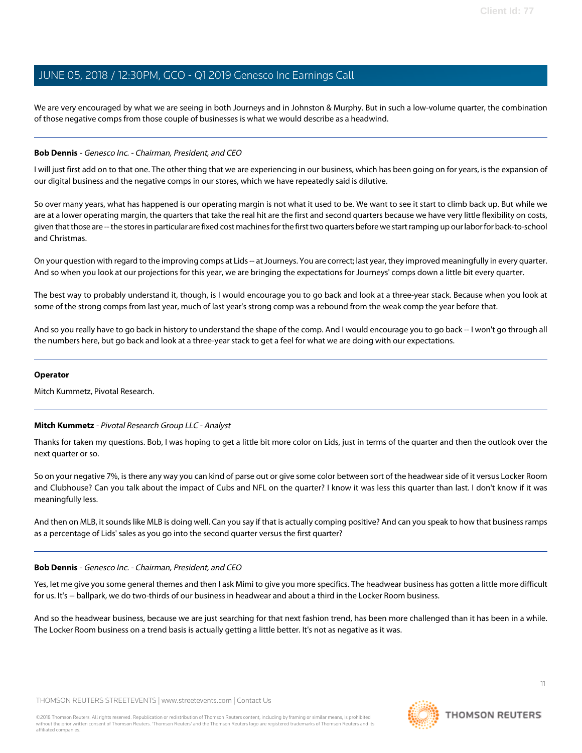We are very encouraged by what we are seeing in both Journeys and in Johnston & Murphy. But in such a low-volume quarter, the combination of those negative comps from those couple of businesses is what we would describe as a headwind.

#### **Bob Dennis** - Genesco Inc. - Chairman, President, and CEO

I will just first add on to that one. The other thing that we are experiencing in our business, which has been going on for years, is the expansion of our digital business and the negative comps in our stores, which we have repeatedly said is dilutive.

So over many years, what has happened is our operating margin is not what it used to be. We want to see it start to climb back up. But while we are at a lower operating margin, the quarters that take the real hit are the first and second quarters because we have very little flexibility on costs, given that those are -- the stores in particular are fixed cost machines for the first two quarters before we start ramping up our labor for back-to-school and Christmas.

On your question with regard to the improving comps at Lids -- at Journeys. You are correct; last year, they improved meaningfully in every quarter. And so when you look at our projections for this year, we are bringing the expectations for Journeys' comps down a little bit every quarter.

The best way to probably understand it, though, is I would encourage you to go back and look at a three-year stack. Because when you look at some of the strong comps from last year, much of last year's strong comp was a rebound from the weak comp the year before that.

And so you really have to go back in history to understand the shape of the comp. And I would encourage you to go back -- I won't go through all the numbers here, but go back and look at a three-year stack to get a feel for what we are doing with our expectations.

#### **Operator**

<span id="page-10-0"></span>Mitch Kummetz, Pivotal Research.

#### **Mitch Kummetz** - Pivotal Research Group LLC - Analyst

Thanks for taken my questions. Bob, I was hoping to get a little bit more color on Lids, just in terms of the quarter and then the outlook over the next quarter or so.

So on your negative 7%, is there any way you can kind of parse out or give some color between sort of the headwear side of it versus Locker Room and Clubhouse? Can you talk about the impact of Cubs and NFL on the quarter? I know it was less this quarter than last. I don't know if it was meaningfully less.

And then on MLB, it sounds like MLB is doing well. Can you say if that is actually comping positive? And can you speak to how that business ramps as a percentage of Lids' sales as you go into the second quarter versus the first quarter?

#### **Bob Dennis** - Genesco Inc. - Chairman, President, and CEO

Yes, let me give you some general themes and then I ask Mimi to give you more specifics. The headwear business has gotten a little more difficult for us. It's -- ballpark, we do two-thirds of our business in headwear and about a third in the Locker Room business.

And so the headwear business, because we are just searching for that next fashion trend, has been more challenged than it has been in a while. The Locker Room business on a trend basis is actually getting a little better. It's not as negative as it was.

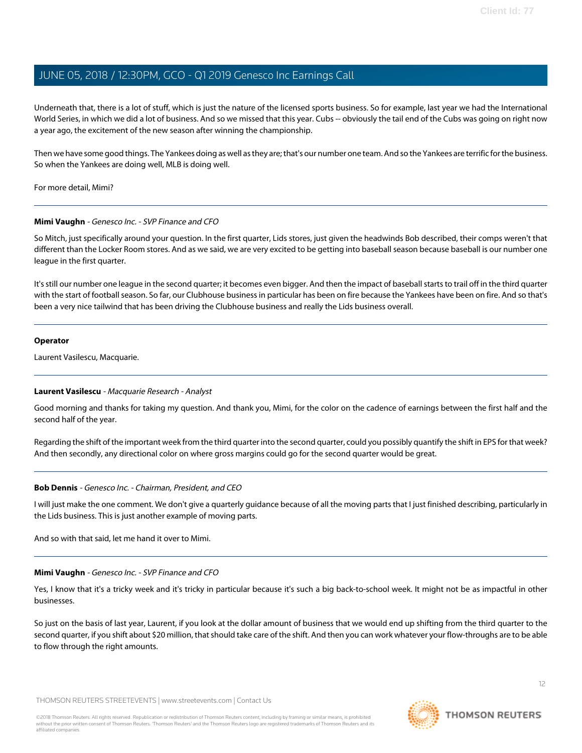Underneath that, there is a lot of stuff, which is just the nature of the licensed sports business. So for example, last year we had the International World Series, in which we did a lot of business. And so we missed that this year. Cubs -- obviously the tail end of the Cubs was going on right now a year ago, the excitement of the new season after winning the championship.

Then we have some good things. The Yankees doing as well as they are; that's our number one team. And so the Yankees are terrific for the business. So when the Yankees are doing well, MLB is doing well.

For more detail, Mimi?

#### **Mimi Vaughn** - Genesco Inc. - SVP Finance and CFO

So Mitch, just specifically around your question. In the first quarter, Lids stores, just given the headwinds Bob described, their comps weren't that different than the Locker Room stores. And as we said, we are very excited to be getting into baseball season because baseball is our number one league in the first quarter.

It's still our number one league in the second quarter; it becomes even bigger. And then the impact of baseball starts to trail off in the third quarter with the start of football season. So far, our Clubhouse business in particular has been on fire because the Yankees have been on fire. And so that's been a very nice tailwind that has been driving the Clubhouse business and really the Lids business overall.

#### **Operator**

<span id="page-11-0"></span>Laurent Vasilescu, Macquarie.

#### **Laurent Vasilescu** - Macquarie Research - Analyst

Good morning and thanks for taking my question. And thank you, Mimi, for the color on the cadence of earnings between the first half and the second half of the year.

Regarding the shift of the important week from the third quarter into the second quarter, could you possibly quantify the shift in EPS for that week? And then secondly, any directional color on where gross margins could go for the second quarter would be great.

#### **Bob Dennis** - Genesco Inc. - Chairman, President, and CEO

I will just make the one comment. We don't give a quarterly guidance because of all the moving parts that I just finished describing, particularly in the Lids business. This is just another example of moving parts.

And so with that said, let me hand it over to Mimi.

#### **Mimi Vaughn** - Genesco Inc. - SVP Finance and CFO

Yes, I know that it's a tricky week and it's tricky in particular because it's such a big back-to-school week. It might not be as impactful in other businesses.

So just on the basis of last year, Laurent, if you look at the dollar amount of business that we would end up shifting from the third quarter to the second quarter, if you shift about \$20 million, that should take care of the shift. And then you can work whatever your flow-throughs are to be able to flow through the right amounts.

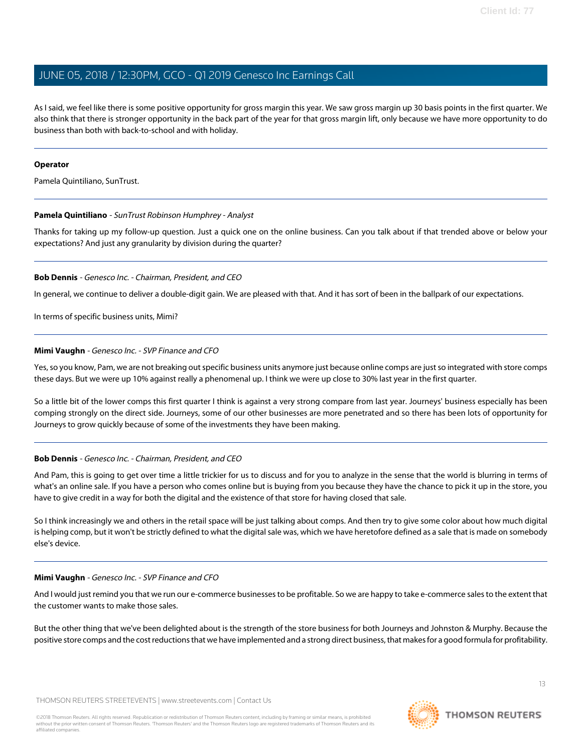As I said, we feel like there is some positive opportunity for gross margin this year. We saw gross margin up 30 basis points in the first quarter. We also think that there is stronger opportunity in the back part of the year for that gross margin lift, only because we have more opportunity to do business than both with back-to-school and with holiday.

#### **Operator**

Pamela Quintiliano, SunTrust.

#### **Pamela Quintiliano** - SunTrust Robinson Humphrey - Analyst

Thanks for taking up my follow-up question. Just a quick one on the online business. Can you talk about if that trended above or below your expectations? And just any granularity by division during the quarter?

#### **Bob Dennis** - Genesco Inc. - Chairman, President, and CEO

In general, we continue to deliver a double-digit gain. We are pleased with that. And it has sort of been in the ballpark of our expectations.

In terms of specific business units, Mimi?

#### **Mimi Vaughn** - Genesco Inc. - SVP Finance and CFO

Yes, so you know, Pam, we are not breaking out specific business units anymore just because online comps are just so integrated with store comps these days. But we were up 10% against really a phenomenal up. I think we were up close to 30% last year in the first quarter.

So a little bit of the lower comps this first quarter I think is against a very strong compare from last year. Journeys' business especially has been comping strongly on the direct side. Journeys, some of our other businesses are more penetrated and so there has been lots of opportunity for Journeys to grow quickly because of some of the investments they have been making.

#### **Bob Dennis** - Genesco Inc. - Chairman, President, and CEO

And Pam, this is going to get over time a little trickier for us to discuss and for you to analyze in the sense that the world is blurring in terms of what's an online sale. If you have a person who comes online but is buying from you because they have the chance to pick it up in the store, you have to give credit in a way for both the digital and the existence of that store for having closed that sale.

So I think increasingly we and others in the retail space will be just talking about comps. And then try to give some color about how much digital is helping comp, but it won't be strictly defined to what the digital sale was, which we have heretofore defined as a sale that is made on somebody else's device.

#### **Mimi Vaughn** - Genesco Inc. - SVP Finance and CFO

And I would just remind you that we run our e-commerce businesses to be profitable. So we are happy to take e-commerce sales to the extent that the customer wants to make those sales.

But the other thing that we've been delighted about is the strength of the store business for both Journeys and Johnston & Murphy. Because the positive store comps and the cost reductions that we have implemented and a strong direct business, that makes for a good formula for profitability.